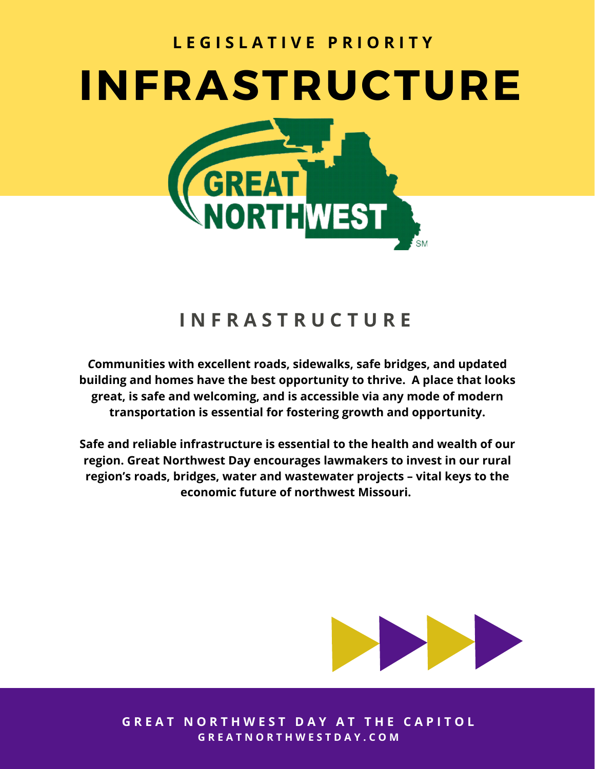

## **I N F R A S T R U C T U R E**

*C***ommunities with excellent roads, sidewalks, safe bridges, and updated building and homes have the best opportunity to thrive. A place that looks great, is safe and welcoming, and is accessible via any mode of modern transportation is essential for fostering growth and opportunity.**

**Safe and reliable infrastructure is essential to the health and wealth of our region. Great Northwest Day encourages lawmakers to invest in our rural region's roads, bridges, water and wastewater projects – vital keys to the economic future of northwest Missouri.**



**GREAT NORTHWEST DAY AT THE CAPITOL** G R E A T N O R T H W E S T D A Y . C O M